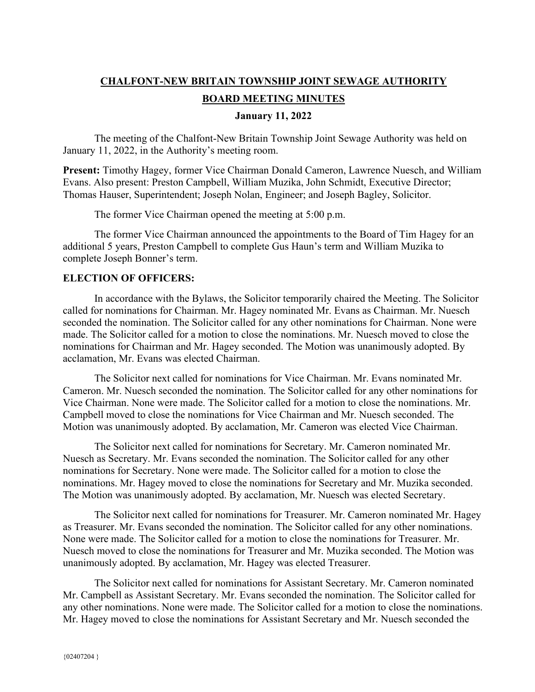# **CHALFONT-NEW BRITAIN TOWNSHIP JOINT SEWAGE AUTHORITY BOARD MEETING MINUTES**

#### **January 11, 2022**

The meeting of the Chalfont-New Britain Township Joint Sewage Authority was held on January 11, 2022, in the Authority's meeting room.

**Present:** Timothy Hagey, former Vice Chairman Donald Cameron, Lawrence Nuesch, and William Evans. Also present: Preston Campbell, William Muzika, John Schmidt, Executive Director; Thomas Hauser, Superintendent; Joseph Nolan, Engineer; and Joseph Bagley, Solicitor.

The former Vice Chairman opened the meeting at 5:00 p.m.

The former Vice Chairman announced the appointments to the Board of Tim Hagey for an additional 5 years, Preston Campbell to complete Gus Haun's term and William Muzika to complete Joseph Bonner's term.

## **ELECTION OF OFFICERS:**

In accordance with the Bylaws, the Solicitor temporarily chaired the Meeting. The Solicitor called for nominations for Chairman. Mr. Hagey nominated Mr. Evans as Chairman. Mr. Nuesch seconded the nomination. The Solicitor called for any other nominations for Chairman. None were made. The Solicitor called for a motion to close the nominations. Mr. Nuesch moved to close the nominations for Chairman and Mr. Hagey seconded. The Motion was unanimously adopted. By acclamation, Mr. Evans was elected Chairman.

The Solicitor next called for nominations for Vice Chairman. Mr. Evans nominated Mr. Cameron. Mr. Nuesch seconded the nomination. The Solicitor called for any other nominations for Vice Chairman. None were made. The Solicitor called for a motion to close the nominations. Mr. Campbell moved to close the nominations for Vice Chairman and Mr. Nuesch seconded. The Motion was unanimously adopted. By acclamation, Mr. Cameron was elected Vice Chairman.

The Solicitor next called for nominations for Secretary. Mr. Cameron nominated Mr. Nuesch as Secretary. Mr. Evans seconded the nomination. The Solicitor called for any other nominations for Secretary. None were made. The Solicitor called for a motion to close the nominations. Mr. Hagey moved to close the nominations for Secretary and Mr. Muzika seconded. The Motion was unanimously adopted. By acclamation, Mr. Nuesch was elected Secretary.

The Solicitor next called for nominations for Treasurer. Mr. Cameron nominated Mr. Hagey as Treasurer. Mr. Evans seconded the nomination. The Solicitor called for any other nominations. None were made. The Solicitor called for a motion to close the nominations for Treasurer. Mr. Nuesch moved to close the nominations for Treasurer and Mr. Muzika seconded. The Motion was unanimously adopted. By acclamation, Mr. Hagey was elected Treasurer.

The Solicitor next called for nominations for Assistant Secretary. Mr. Cameron nominated Mr. Campbell as Assistant Secretary. Mr. Evans seconded the nomination. The Solicitor called for any other nominations. None were made. The Solicitor called for a motion to close the nominations. Mr. Hagey moved to close the nominations for Assistant Secretary and Mr. Nuesch seconded the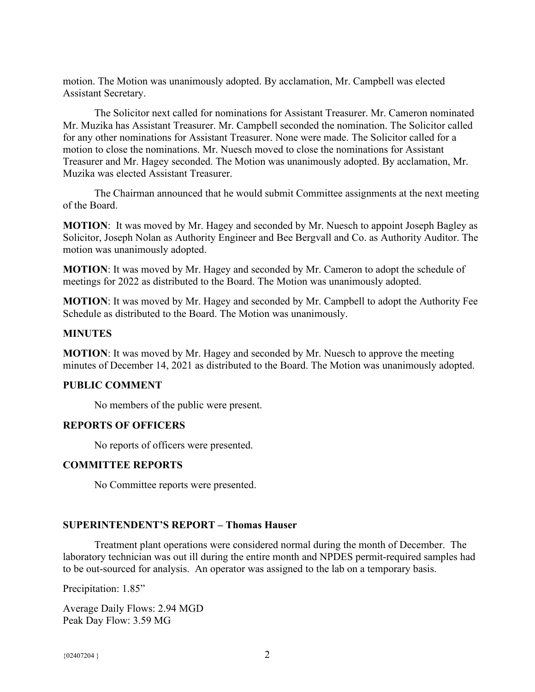motion. The Motion was unanimously adopted. By acclamation, Mr. Campbell was elected Assistant Secretary.

The Solicitor next called for nominations for Assistant Treasurer. Mr. Cameron nominated Mr. Muzika has Assistant Treasurer. Mr. Campbell seconded the nomination. The Solicitor called for any other nominations for Assistant Treasurer. None were made. The Solicitor called for a motion to close the nominations. Mr. Nuesch moved to close the nominations for Assistant Treasurer and Mr. Hagey seconded. The Motion was unanimously adopted. By acclamation, Mr. Muzika was elected Assistant Treasurer.

The Chairman announced that he would submit Committee assignments at the next meeting of the Board.

**MOTION**: It was moved by Mr. Hagey and seconded by Mr. Nuesch to appoint Joseph Bagley as Solicitor, Joseph Nolan as Authority Engineer and Bee Bergvall and Co. as Authority Auditor. The motion was unanimously adopted.

**MOTION**: It was moved by Mr. Hagey and seconded by Mr. Cameron to adopt the schedule of meetings for 2022 as distributed to the Board. The Motion was unanimously adopted.

**MOTION**: It was moved by Mr. Hagey and seconded by Mr. Campbell to adopt the Authority Fee Schedule as distributed to the Board. The Motion was unanimously.

## **MINUTES**

**MOTION**: It was moved by Mr. Hagey and seconded by Mr. Nuesch to approve the meeting minutes of December 14, 2021 as distributed to the Board. The Motion was unanimously adopted.

## **PUBLIC COMMENT**

No members of the public were present.

## **REPORTS OF OFFICERS**

No reports of officers were presented.

## **COMMITTEE REPORTS**

No Committee reports were presented.

## **SUPERINTENDENT'S REPORT – Thomas Hauser**

Treatment plant operations were considered normal during the month of December. The laboratory technician was out ill during the entire month and NPDES permit-required samples had to be out-sourced for analysis. An operator was assigned to the lab on a temporary basis.

Precipitation: 1.85"

Average Daily Flows: 2.94 MGD Peak Day Flow: 3.59 MG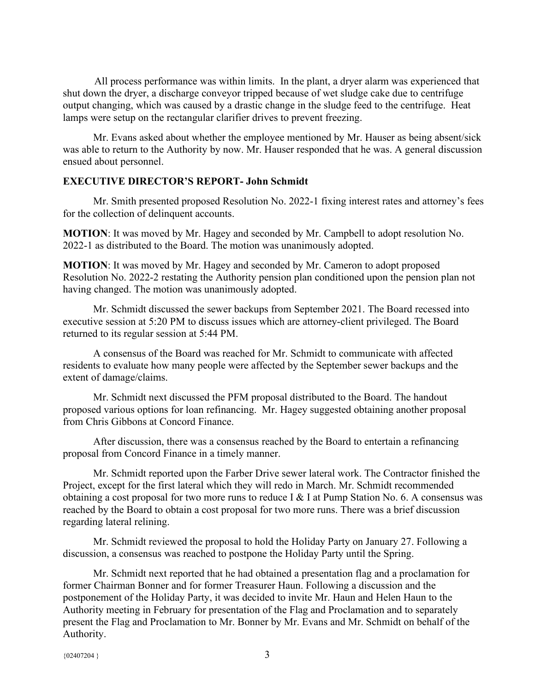All process performance was within limits. In the plant, a dryer alarm was experienced that shut down the dryer, a discharge conveyor tripped because of wet sludge cake due to centrifuge output changing, which was caused by a drastic change in the sludge feed to the centrifuge. Heat lamps were setup on the rectangular clarifier drives to prevent freezing.

 Mr. Evans asked about whether the employee mentioned by Mr. Hauser as being absent/sick was able to return to the Authority by now. Mr. Hauser responded that he was. A general discussion ensued about personnel.

## **EXECUTIVE DIRECTOR'S REPORT- John Schmidt**

 Mr. Smith presented proposed Resolution No. 2022-1 fixing interest rates and attorney's fees for the collection of delinquent accounts.

**MOTION**: It was moved by Mr. Hagey and seconded by Mr. Campbell to adopt resolution No. 2022-1 as distributed to the Board. The motion was unanimously adopted.

**MOTION**: It was moved by Mr. Hagey and seconded by Mr. Cameron to adopt proposed Resolution No. 2022-2 restating the Authority pension plan conditioned upon the pension plan not having changed. The motion was unanimously adopted.

 Mr. Schmidt discussed the sewer backups from September 2021. The Board recessed into executive session at 5:20 PM to discuss issues which are attorney-client privileged. The Board returned to its regular session at 5:44 PM.

 A consensus of the Board was reached for Mr. Schmidt to communicate with affected residents to evaluate how many people were affected by the September sewer backups and the extent of damage/claims.

 Mr. Schmidt next discussed the PFM proposal distributed to the Board. The handout proposed various options for loan refinancing. Mr. Hagey suggested obtaining another proposal from Chris Gibbons at Concord Finance.

 After discussion, there was a consensus reached by the Board to entertain a refinancing proposal from Concord Finance in a timely manner.

 Mr. Schmidt reported upon the Farber Drive sewer lateral work. The Contractor finished the Project, except for the first lateral which they will redo in March. Mr. Schmidt recommended obtaining a cost proposal for two more runs to reduce I & I at Pump Station No. 6. A consensus was reached by the Board to obtain a cost proposal for two more runs. There was a brief discussion regarding lateral relining.

 Mr. Schmidt reviewed the proposal to hold the Holiday Party on January 27. Following a discussion, a consensus was reached to postpone the Holiday Party until the Spring.

 Mr. Schmidt next reported that he had obtained a presentation flag and a proclamation for former Chairman Bonner and for former Treasurer Haun. Following a discussion and the postponement of the Holiday Party, it was decided to invite Mr. Haun and Helen Haun to the Authority meeting in February for presentation of the Flag and Proclamation and to separately present the Flag and Proclamation to Mr. Bonner by Mr. Evans and Mr. Schmidt on behalf of the Authority.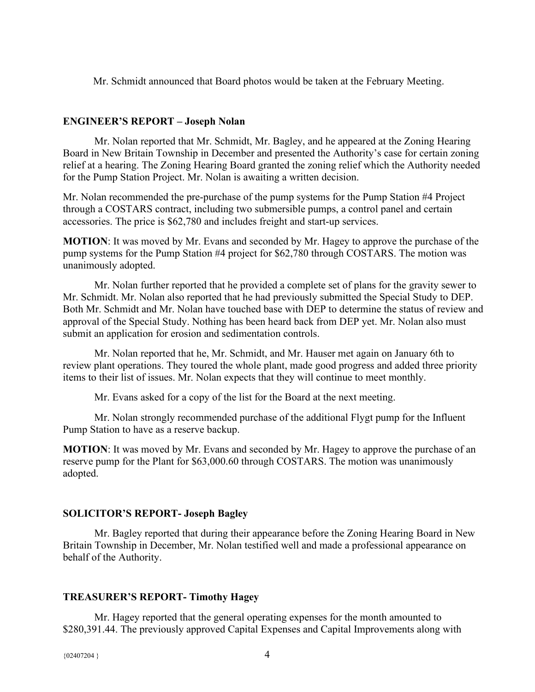Mr. Schmidt announced that Board photos would be taken at the February Meeting.

#### **ENGINEER'S REPORT – Joseph Nolan**

Mr. Nolan reported that Mr. Schmidt, Mr. Bagley, and he appeared at the Zoning Hearing Board in New Britain Township in December and presented the Authority's case for certain zoning relief at a hearing. The Zoning Hearing Board granted the zoning relief which the Authority needed for the Pump Station Project. Mr. Nolan is awaiting a written decision.

Mr. Nolan recommended the pre-purchase of the pump systems for the Pump Station #4 Project through a COSTARS contract, including two submersible pumps, a control panel and certain accessories. The price is \$62,780 and includes freight and start-up services.

**MOTION**: It was moved by Mr. Evans and seconded by Mr. Hagey to approve the purchase of the pump systems for the Pump Station #4 project for \$62,780 through COSTARS. The motion was unanimously adopted.

Mr. Nolan further reported that he provided a complete set of plans for the gravity sewer to Mr. Schmidt. Mr. Nolan also reported that he had previously submitted the Special Study to DEP. Both Mr. Schmidt and Mr. Nolan have touched base with DEP to determine the status of review and approval of the Special Study. Nothing has been heard back from DEP yet. Mr. Nolan also must submit an application for erosion and sedimentation controls.

Mr. Nolan reported that he, Mr. Schmidt, and Mr. Hauser met again on January 6th to review plant operations. They toured the whole plant, made good progress and added three priority items to their list of issues. Mr. Nolan expects that they will continue to meet monthly.

Mr. Evans asked for a copy of the list for the Board at the next meeting.

Mr. Nolan strongly recommended purchase of the additional Flygt pump for the Influent Pump Station to have as a reserve backup.

**MOTION**: It was moved by Mr. Evans and seconded by Mr. Hagey to approve the purchase of an reserve pump for the Plant for \$63,000.60 through COSTARS. The motion was unanimously adopted.

## **SOLICITOR'S REPORT- Joseph Bagley**

Mr. Bagley reported that during their appearance before the Zoning Hearing Board in New Britain Township in December, Mr. Nolan testified well and made a professional appearance on behalf of the Authority.

## **TREASURER'S REPORT- Timothy Hagey**

Mr. Hagey reported that the general operating expenses for the month amounted to \$280,391.44. The previously approved Capital Expenses and Capital Improvements along with